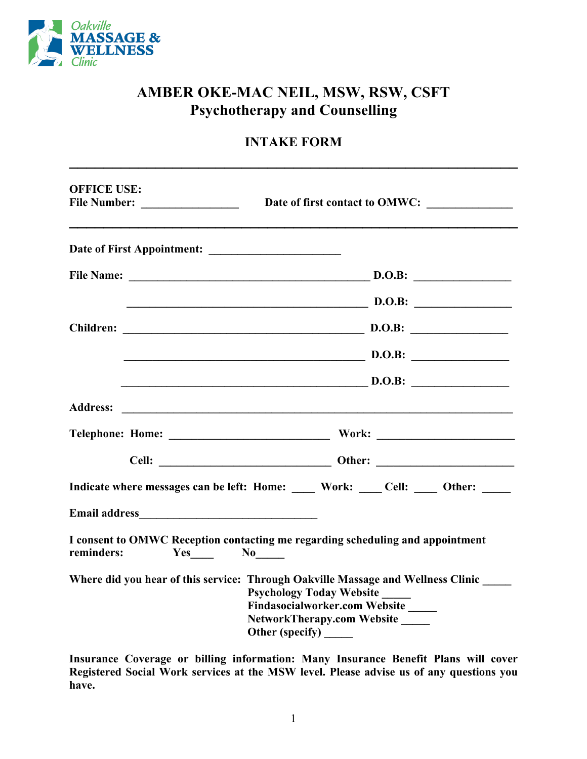

## **AMBER OKE-MAC NEIL, MSW, RSW, CSFT Psychotherapy and Counselling**

## **INTAKE FORM \_\_\_\_\_\_\_\_\_\_\_\_\_\_\_\_\_\_\_\_\_\_\_\_\_\_\_\_\_\_\_\_\_\_\_\_\_\_\_\_\_\_\_\_\_\_\_\_\_\_\_\_**

| <b>OFFICE USE:</b>   | Date of first contact to OMWC:                                                                                                                                                                               |
|----------------------|--------------------------------------------------------------------------------------------------------------------------------------------------------------------------------------------------------------|
|                      |                                                                                                                                                                                                              |
|                      |                                                                                                                                                                                                              |
|                      | $\sim$ D.O.B:                                                                                                                                                                                                |
|                      |                                                                                                                                                                                                              |
|                      | D.O.B:                                                                                                                                                                                                       |
|                      | $\mathbf{D}.\mathbf{O}.\mathbf{B}$                                                                                                                                                                           |
|                      |                                                                                                                                                                                                              |
|                      |                                                                                                                                                                                                              |
|                      |                                                                                                                                                                                                              |
|                      | Indicate where messages can be left: Home: Work: Cell: Other:                                                                                                                                                |
|                      |                                                                                                                                                                                                              |
| reminders:<br>Yes No | I consent to OMWC Reception contacting me regarding scheduling and appointment                                                                                                                               |
|                      | Where did you hear of this service: Through Oakville Massage and Wellness Clinic<br><b>Psychology Today Website</b><br><b>Findasocialworker.com Website</b><br>NetworkTherapy.com Website<br>Other (specify) |

**Insurance Coverage or billing information: Many Insurance Benefit Plans will cover Registered Social Work services at the MSW level. Please advise us of any questions you have.**